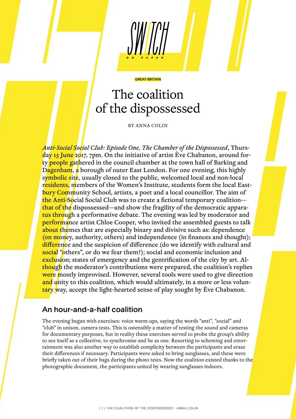

GREAT-BRITAIN

BY ANNA COLIN

*Anti-Social Social Club: Episode One, The Chamber of the Dispossessed*, Thursday 15 June 2017, 7pm. On the initiative of artist Ève Chabanon, around forty people gathered in the council chamber at the town hall of Barking and Dagenham, a borough of outer East London. For one evening, this highly symbolic site, usually closed to the public, welcomed local and non-local residents, members of the Women's Institute, students form the local Eastbury Community School, artists, a poet and a local councillor. The aim of the Anti-Social Social Club was to create a fictional temporary coalition that of the dispossessed—and show the fragility of the democratic apparatus through a performative debate. The evening was led by moderator and **performance artist Chloe Cooper, who invited the assembled guests to talk** about themes that are especially binary and divisive such as: dependence (on money, authority, others) and independence (in finances and thought); difference and the suspicion of difference (do we identify with cultural and social "others", or do we fear them?); social and economic inclusion and exclusion; states of emergency and the gentrification of the city by art. Although the moderator's contributions were prepared, the coalition's replies were mostly improvised. However, several tools were used to give direction and unity to this coalition, which would ultimately, in a more or less voluntary way, accept the light-hearted sense of play sought by Eve Chabanon.

### An hour-and-a-half coalition

The evening began with exercises: voice warm-ups, saying the words "anti", "social" and "club" in unison, camera tests. This is ostensibly a matter of testing the sound and cameras for documentary purposes, but in reality these exercises served to probe the group's ability to see itself as a collective, to synchronise and be as one. Resorting to scheming and entertainment was also another way to establish complicity between the participants and erase their differences if necessary. Participants were asked to bring sunglasses, and these were briefly taken out of their bags during the photo tests. Now the coalition existed thanks to the photographic document, the participants united by wearing sunglasses indoors.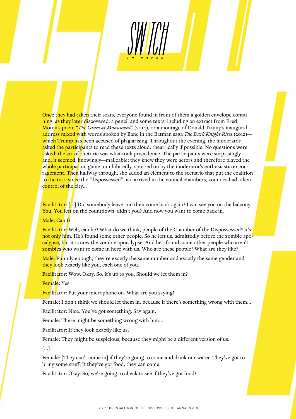Once they had taken their seats, everyone found in front of them a golden envelope containing, as they later discovered, a pencil and some texts; including an extract from Fred Moten's poem "*The Gramsci Monument*" (2014), or a montage of Donald Trump's inaugural address mixed with words spoken by Bane in the Batman saga *The Dark Knight Rises* (2012) which Trump has been accused of plagiarising. Throughout the evening, the moderator asked the participants to read these texts aloud, theatrically if possible. No questions were asked; the art of rhetoric was what took precedence. The participants were surprisingly and, it seemed, knowingly—malleable; they knew they were actors and therefore played the whole participation game uninhibitedly, spurred on by the moderator's enthusiastic encouragement. Then halfway through, she added an element to the scenario that put the coalition to the test: since the "dispossessed" had arrived in the council chambers, zombies had taken control of the city...

Facilitator: [...] Did somebody leave and then come back again? I can see you on the balcony. You. You left on the countdown, didn't you? And now you want to come back in.

#### Male: Can I?

Facilitator: Well, can he? What do we think, people of the Chamber of the Dispossessed? It's not only him. He's found some other people. So he left us, admittedly before the zombie apocalypse, but it is now the zombie apocalypse. And he's found some other people who aren't zombies who want to come in here with us. Who are these people? What are they like?

Male: Funnily enough, they're exactly the same number and exactly the same gender and they look exactly like you, each one of you.

Facilitator: Wow. Okay. So, it's up to you. Should we let them in?

Female: Yes.

Facilitator: Put your microphone on. What are you saying?

Female: I don't think we should let them in, because if there's something wrong with them...

Facilitator: Nice. You've got something. Say again.

Female: There might be something wrong with him…

Facilitator: If they look exactly like us.

Female: They might be suspicious, because they might be a different version of us.

[...]

Female: [They can't come in] if they're going to come and drink our water. They've got to bring some stuff. If they've got food, they can come.

Facilitator: Okay. So, we're going to check to see if they've got food?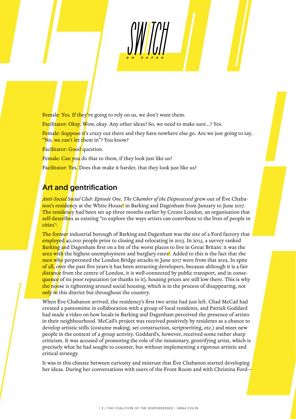Female: Yes. If they're going to rely on us, we don't want them.

Facilitator: Okay. Wow, okay. Any other ideas? So, we need to make sure...? Yes.

Female: Suppose it's crazy out there and they have nowhere else go. Are we just going to say, "No, we can't let them in"? You know?

Facilitator: Good question.

Female: Can you do that to them, if they look just like us?

Facilitator: Yes. Does that make it harder, that they look just like us?

# **Art and gentrification**

*Anti-Social Social Club: Episode One, The Chamber of the Dispossessed* grew out of Ève Chaba-<mark>non's resid</mark>ency at the White House<mark>'</mark> in Barking and Dagenham from January to June 2017. The residency had been set up three months earlier by Create London, an organisation that self-describes as existing "to explore the ways artists can contribute to the lives of people in cities<sup>"</sup><sup>2</sup>.

The former industrial borough of Barking and Dagenham was the site of a Ford factory that employed 40,000 people prior to closing and relocating in 2013. In 2015, a survey ranked Barking and Dagenham first on a list of the worst places to live in Great Britain: it was the area with the highest unemployment and burglary rates<sup>3</sup>. Added to this is the fact that the men who perpetrated the London Bridge attacks in June 2017 were from that area. In spite of all, over the past five years it has been attracting developers, because although it is a fair distance from the centre of London, it is well-connected by public transport, and in consequence of its poor reputation (or thanks to it), housing prices are still low there. This is why the noose is tightening around social housing, which is in the process of disappearing, not only in this district but throughout the country.

When Ève Chabanon arrived, the residency's first two artist had just left. Chad McCail had created a pantomime in collaboration with a group of local residents, and Patrick Goddard had made a video on how locals in Barking and Dagenham perceived the presence of artists in their neighbourhood. McCail's project was received positively by residents as a chance to develop artistic stills (costume making, set construction, scriptwriting, etc.) and meet new people in the context of a group activity. Goddard's, however, received some rather sharp criticism. It was accused of promoting the role of the missionary, gentrifying artist, which is precisely what he had sought to counter, but without implementing a rigorous artistic and critical strategy.

It was in this climate between curiosity and mistrust that Ève Chabanon started developing her ideas. During her conversations with users of the Front Room and with Christina Ford—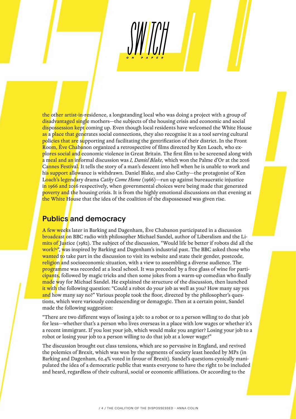the other artist-in-residence, a longstanding local who was doing a project with a group of disadvantaged single mothers—the subjects of the housing crisis and economic and social dispossession kept coming up. Even though local residents have welcomed the White House as a place that generates social connections, they also recognise it as a tool serving cultural policies that are supporting and facilitating the gentrification of their district. In the Front Room, Eve Chabanon organized a retrospective of films directed by Ken Loach, who explores social and economic violence in Great Britain. The first film to be screened along with a meal and an informal discussion was *I, Daniel Blake*, which won the Palme d'Or at the 2016 Cannes Festival. It tells the story of a man's descent into hell when he is unable to work and hi<mark>s support a</mark>llowance is withdrawn. Daniel Blake, and also Cathy—the protagonist of Ken Loach's legendary drama *Cathy Come Home* (1966)—run up against bureaucratic injustice in 1966 and 2016 respectively, when governmental choices were being made that generated poverty and the housing crisis. It is from the highly emotional discussions on that evening at the White House that the idea of the coalition of the dispossessed was given rise.

# **Publics** and democracy

A few weeks later in Barking and Dagenham, Ève Chabanon participated in a discussion broadcast on BBC radio with philosopher Michael Sandel, author of Liberalism and the Limits of Justice (1982). The subject of the discussion, "Would life be better if robots did all the work?4 ", was inspired by Barking and Dagenham's industrial past. The BBC asked those who wanted to take part in the discussion to visit its website and state their gender, postcode, religion and socioeconomic situation, with a view to assembling a diverse audience. The programme was recorded at a local school. It was preceded by a free glass of wine for participants, followed by magic tricks and then some jokes from a warm-up comedian who finally made way for Michael Sandel. He explained the structure of the discussion, then launched it with the following question: "Could a robot do your job as well as you? How many say yes and how many say no?" Various people took the floor, directed by the philosopher's questions, which were variously condescending or demagogic. Then at a certain point, Sandel made the following suggestion:

"There are two different ways of losing a job: to a robot or to a person willing to do that job for less—whether that's a person who lives overseas in a place with low wages or whether it's a recent immigrant. If you lost your job, which would make you angrier? Losing your job to a robot or losing your job to a person willing to do that job at a lower wage?"

The discussion brought out class tensions, which are so pervasive in England, and revived the polemics of Brexit, which was won by the segments of society least heeded by MPs (in Barking and Dagenham, 62.4% voted in favour of Brexit). Sandel's questions cynically manipulated the idea of a democratic public that wants everyone to have the right to be included and heard, regardless of their cultural, social or economic affiliations. Or according to the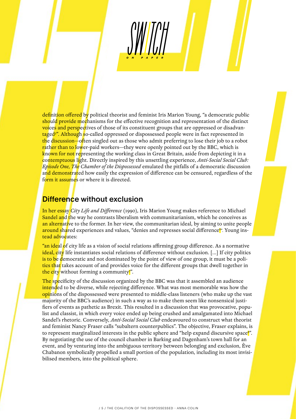definition offered by political theorist and feminist Iris Marion Young, "a democratic public should provide mechanisms for the effective recognition and representation of the distinct voices and perspectives of those of its constituent groups that are oppressed or disadvan-<mark>ta</mark>ged<sup>3</sup>". Although so-called oppressed or dispossessed people were in fact represented in the discussion—often singled out as those who admit preferring to lose their job to a robot rather than to lower-paid workers—they were openly pointed out by the BBC, which is known for not representing the working class in Great Britain, aside from depicting it in a contemptuous light. Directly inspired by this unsettling experience, *Anti-Social Social Club: Episode One, The Chamber of the Dispossessed* emulated the pitfalls of a democratic discussion and demonstrated how easily the expression of difference can be censured, regardless of the form it assumes or where it is directed.

# Difference without exclusion

In her essay *City Life and Difference* (1990), Iris Marion Young makes reference to Michael **Sandel and the way he contrasts liberalism with communitarianism, which he conceives as** an alternative to the former. In her view, the communitarian ideal, by aiming to unite people around shared experiences and values, "denies and represses social difference". Young instead advocates:

"an ideal of city life as a vision of social relations affirming group difference. As a normative ideal, city life instantiates social relations of difference without exclusion. [...] If city politics is to be democratic and not dominated by the point of view of one group, it must be a politics that takes account of and provides voice for the different groups that dwell together in the city without forming a community?".

The specificity of the discussion organized by the BBC was that it assembled an audience intended to be diverse, while rejecting difference. What was most memorable was how the opinions of the dispossessed were presented to middle-class listeners (who make up the vast majority of the BBC's audience) in such a way as to make them seem like nonsensical justifiers of events as pathetic as Brexit. This resulted in a discussion that was provocative, populist and classist, in which every voice ended up being crushed and amalgamated into Michael Sandel's rhetoric. Conversely, *Anti-Social Social Club* endeavoured to construct what theorist and feminist Nancy Fraser calls "subaltern counterpublics". The objective, Fraser explains, is to represent marginalized interests in the public sphere and "help expand discursive space". By negotiating the use of the council chamber in Barking and Dagenham's town hall for an event, and by venturing into the ambiguous territory between belonging and exclusion, Ève Chabanon symbolically propelled a small portion of the population, including its most invisibilised members, into the political sphere.